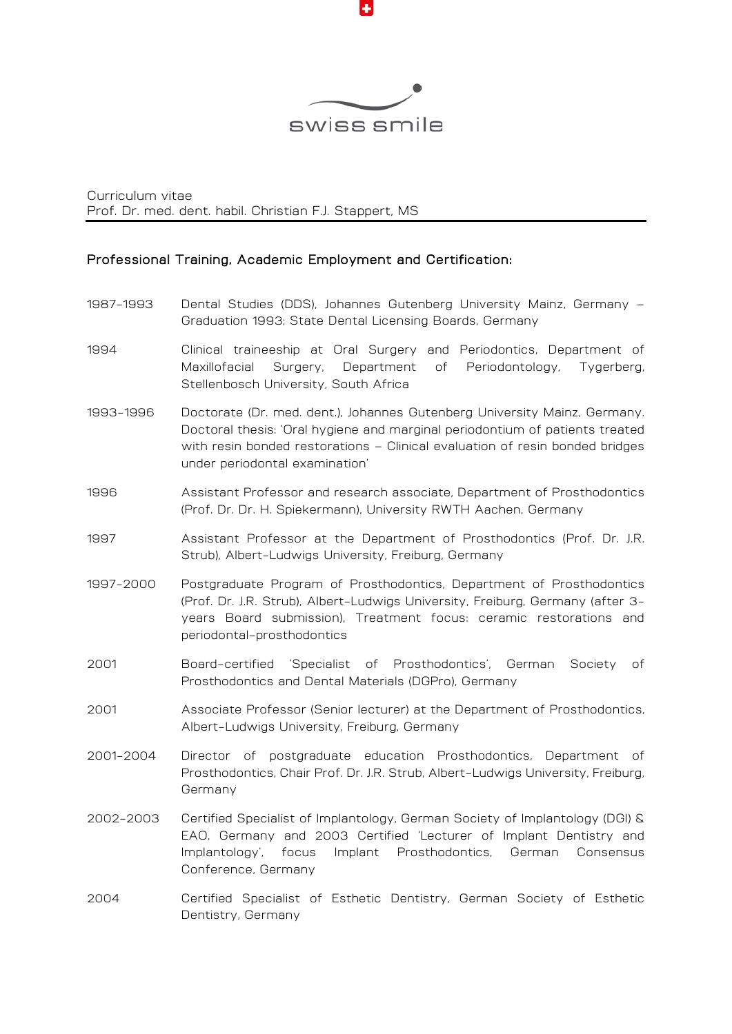

Curriculum vitae Prof. Dr. med. dent. habil. Christian F.J. Stappert, MS

#### Professional Training, Academic Employment and Certification:

- 1987-1993 Dental Studies (DDS), Johannes Gutenberg University Mainz, Germany Graduation 1993; State Dental Licensing Boards, Germany
- 1994 Clinical traineeship at Oral Surgery and Periodontics, Department of Maxillofacial Surgery, Department of Periodontology, Tygerberg, Stellenbosch University, South Africa
- 1993-1996 Doctorate (Dr. med. dent.), Johannes Gutenberg University Mainz, Germany. Doctoral thesis: 'Oral hygiene and marginal periodontium of patients treated with resin bonded restorations – Clinical evaluation of resin bonded bridges under periodontal examination'
- 1996 Assistant Professor and research associate, Department of Prosthodontics (Prof. Dr. Dr. H. Spiekermann), University RWTH Aachen, Germany
- 1997 Assistant Professor at the Department of Prosthodontics (Prof. Dr. J.R. Strub), Albert-Ludwigs University, Freiburg, Germany
- 1997-2000 Postgraduate Program of Prosthodontics, Department of Prosthodontics (Prof. Dr. J.R. Strub), Albert-Ludwigs University, Freiburg, Germany (after 3 years Board submission), Treatment focus: ceramic restorations and periodontal-prosthodontics
- 2001 Board-certified 'Specialist of Prosthodontics', German Society of Prosthodontics and Dental Materials (DGPro), Germany
- 2001 Associate Professor (Senior lecturer) at the Department of Prosthodontics, Albert-Ludwigs University, Freiburg, Germany
- 2001-2004 Director of postgraduate education Prosthodontics, Department of Prosthodontics, Chair Prof. Dr. J.R. Strub, Albert-Ludwigs University, Freiburg, Germany
- 2002-2003 Certified Specialist of Implantology, German Society of Implantology (DGI) & EAO, Germany and 2003 Certified 'Lecturer of Implant Dentistry and Implantology', focus Implant Prosthodontics, German Consensus Conference, Germany
- 2004 Certified Specialist of Esthetic Dentistry, German Society of Esthetic Dentistry, Germany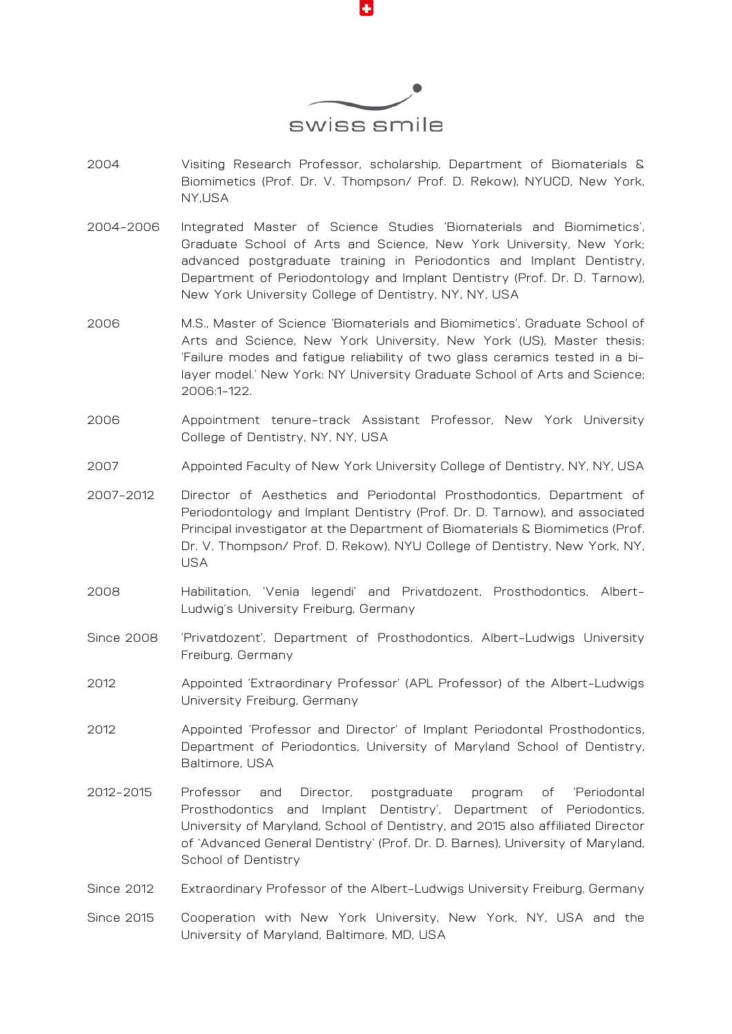

- 2004 Visiting Research Professor, scholarship, Department of Biomaterials & Biomimetics (Prof. Dr. V. Thompson/ Prof. D. Rekow), NYUCD, New York, NY,USA
- 2004-2006 Integrated Master of Science Studies 'Biomaterials and Biomimetics', Graduate School of Arts and Science, New York University, New York; advanced postgraduate training in Periodontics and Implant Dentistry, Department of Periodontology and Implant Dentistry (Prof. Dr. D. Tarnow), New York University College of Dentistry, NY, NY, USA
- 2006 M.S., Master of Science 'Biomaterials and Biomimetics', Graduate School of Arts and Science, New York University, New York (US), Master thesis: 'Failure modes and fatigue reliability of two glass ceramics tested in a bilayer model.' New York: NY University Graduate School of Arts and Science; 2006:1-122.
- 2006 Appointment tenure-track Assistant Professor, New York University College of Dentistry, NY, NY, USA
- 2007 Appointed Faculty of New York University College of Dentistry, NY, NY, USA
- 2007-2012 Director of Aesthetics and Periodontal Prosthodontics, Department of Periodontology and Implant Dentistry (Prof. Dr. D. Tarnow), and associated Principal investigator at the Department of Biomaterials & Biomimetics (Prof. Dr. V. Thompson/ Prof. D. Rekow), NYU College of Dentistry, New York, NY, USA
- 2008 Habilitation, 'Venia legendi' and Privatdozent, Prosthodontics, Albert-Ludwig's University Freiburg, Germany
- Since 2008 'Privatdozent', Department of Prosthodontics, Albert-Ludwigs University Freiburg, Germany
- 2012 Appointed 'Extraordinary Professor' (APL Professor) of the Albert-Ludwigs University Freiburg, Germany
- 2012 Appointed 'Professor and Director' of Implant Periodontal Prosthodontics, Department of Periodontics, University of Maryland School of Dentistry, Baltimore, USA
- 2012-2015 Professor and Director, postgraduate program of 'Periodontal Prosthodontics and Implant Dentistry', Department of Periodontics, University of Maryland, School of Dentistry, and 2015 also affiliated Director of 'Advanced General Dentistry' (Prof. Dr. D. Barnes), University of Maryland, School of Dentistry
- Since 2012 Extraordinary Professor of the Albert-Ludwigs University Freiburg, Germany
- Since 2015 Cooperation with New York University, New York, NY, USA and the University of Maryland, Baltimore, MD, USA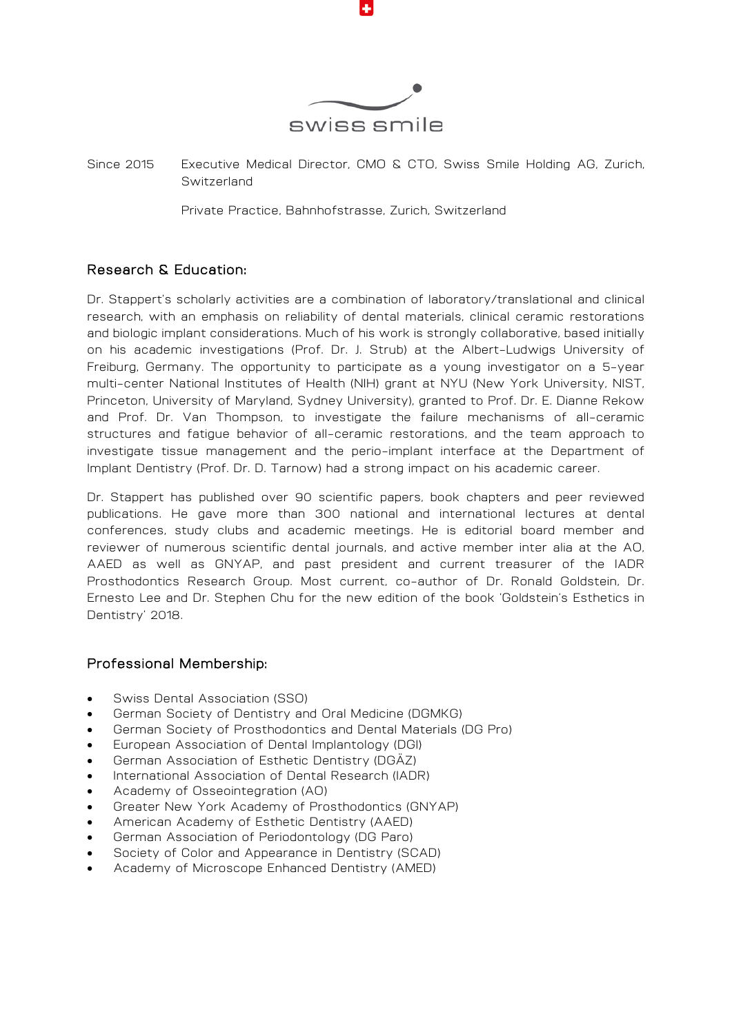

Since 2015 Executive Medical Director, CMO & CTO, Swiss Smile Holding AG, Zurich, Switzerland

Private Practice, Bahnhofstrasse, Zurich, Switzerland

# Research & Education:

Dr. Stappert's scholarly activities are a combination of laboratory/translational and clinical research, with an emphasis on reliability of dental materials, clinical ceramic restorations and biologic implant considerations. Much of his work is strongly collaborative, based initially on his academic investigations (Prof. Dr. J. Strub) at the Albert-Ludwigs University of Freiburg, Germany. The opportunity to participate as a young investigator on a 5-year multi-center National Institutes of Health (NIH) grant at NYU (New York University, NIST, Princeton, University of Maryland, Sydney University), granted to Prof. Dr. E. Dianne Rekow and Prof. Dr. Van Thompson, to investigate the failure mechanisms of all-ceramic structures and fatigue behavior of all-ceramic restorations, and the team approach to investigate tissue management and the perio-implant interface at the Department of Implant Dentistry (Prof. Dr. D. Tarnow) had a strong impact on his academic career.

Dr. Stappert has published over 90 scientific papers, book chapters and peer reviewed publications. He gave more than 300 national and international lectures at dental conferences, study clubs and academic meetings. He is editorial board member and reviewer of numerous scientific dental journals, and active member inter alia at the AO, AAED as well as GNYAP, and past president and current treasurer of the IADR Prosthodontics Research Group. Most current, co-author of Dr. Ronald Goldstein, Dr. Ernesto Lee and Dr. Stephen Chu for the new edition of the book 'Goldstein's Esthetics in Dentistry' 2018.

### Professional Membership:

- Swiss Dental Association (SSO)
- German Society of Dentistry and Oral Medicine (DGMKG)
- German Society of Prosthodontics and Dental Materials (DG Pro)
- European Association of Dental Implantology (DGI)
- German Association of Esthetic Dentistry (DGÄZ)
- International Association of Dental Research (IADR)
- Academy of Osseointegration (AO)
- Greater New York Academy of Prosthodontics (GNYAP)
- American Academy of Esthetic Dentistry (AAED)
- German Association of Periodontology (DG Paro)
- Society of Color and Appearance in Dentistry (SCAD)
- Academy of Microscope Enhanced Dentistry (AMED)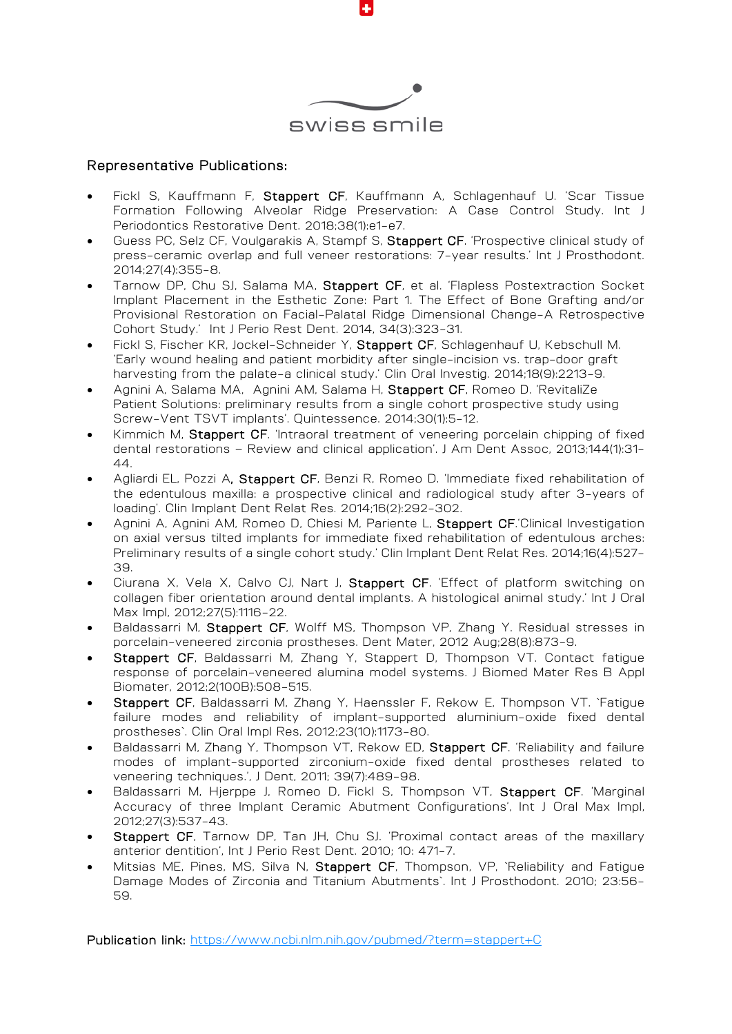

#### Representative Publications:

- Fickl S, Kauffmann F, Stappert CF, Kauffmann A, Schlagenhauf U. 'Scar Tissue Formation Following Alveolar Ridge Preservation: A Case Control Study. [Int J](https://www.ncbi.nlm.nih.gov/pubmed/29240203)  [Periodontics Restorative Dent.](https://www.ncbi.nlm.nih.gov/pubmed/29240203) 2018;38(1):e1-e7.
- Guess PC, Selz CF, Voulgarakis A, Stampf S, Stappert CF. 'Prospective clinical study of press-ceramic overlap and full veneer restorations: 7-year results.' Int J Prosthodont. 2014;27(4):355-8.
- Tarnow DP, Chu SJ, Salama MA, Stappert CF, et al. 'Flapless Postextraction Socket Implant Placement in the Esthetic Zone: Part 1. The Effect of Bone Grafting and/or Provisional Restoration on Facial-Palatal Ridge Dimensional Change-A Retrospective Cohort Study.' Int J Perio Rest Dent. 2014, 34(3):323-31.
- Fickl S, Fischer KR, Jockel-Schneider Y, Stappert CF, Schlagenhauf U, Kebschull M. 'Early wound healing and patient morbidity after single-incision vs. trap-door graft harvesting from the palate-a clinical study.' Clin Oral Investig. 2014;18(9):2213-9.
- Agnini A, Salama MA, Agnini AM, Salama H, Stappert CF, Romeo D. 'RevitaliZe Patient Solutions: preliminary results from a single cohort prospective study using Screw-Vent TSVT implants'. Quintessence. 2014;30(1):5-12.
- Kimmich M, Stappert CF. 'Intraoral treatment of veneering porcelain chipping of fixed dental restorations – Review and clinical application'. J Am Dent Assoc, 2013;144(1):31- 44.
- Agliardi EL, Pozzi A, Stappert CF, Benzi R, Romeo D. 'Immediate fixed rehabilitation of the edentulous maxilla: a prospective clinical and radiological study after 3-years of loading'. Clin Implant Dent Relat Res. 2014;16(2):292-302.
- Agnini A, Agnini AM, Romeo D, Chiesi M, Pariente L, Stappert CF.'Clinical Investigation on axial versus tilted implants for immediate fixed rehabilitation of edentulous arches: Preliminary results of a single cohort study.' Clin Implant Dent Relat Res. 2014;16(4):527- 39.
- Ciurana X, Vela X, Calvo CJ, Nart J, Stappert CF. 'Effect of platform switching on collagen fiber orientation around dental implants. A histological animal study.' Int J Oral Max Impl, 2012;27(5):1116-22.
- Baldassarri M, Stappert CF, Wolff MS, Thompson VP, Zhang Y. Residual stresses in porcelain-veneered zirconia prostheses. Dent Mater, 2012 Aug;28(8):873-9.
- Stappert CF, Baldassarri M, Zhang Y, Stappert D, Thompson VT. Contact fatigue response of porcelain-veneered alumina model systems. J Biomed Mater Res B Appl Biomater, 2012;2(100B):508-515.
- Stappert CF, Baldassarri M, Zhang Y, Haenssler F, Rekow E, Thompson VT. `Fatigue failure modes and reliability of implant-supported aluminium-oxide fixed dental prostheses`. Clin Oral Impl Res, 2012;23(10):1173-80.
- Baldassarri M, Zhang Y, Thompson VT, Rekow ED, Stappert CF. 'Reliability and failure modes of implant-supported zirconium-oxide fixed dental prostheses related to veneering techniques.', J Dent, 2011; 39(7):489-98.
- Baldassarri M, Hjerppe J, Romeo D, Fickl S, Thompson VT, Stappert CF. 'Marginal Accuracy of three Implant Ceramic Abutment Configurations', Int J Oral Max Impl, 2012;27(3):537-43.
- Stappert CF, Tarnow DP, Tan JH, Chu SJ. 'Proximal contact areas of the maxillary anterior dentition', Int J Perio Rest Dent. 2010; 10: 471-7.
- Mitsias ME, Pines, MS, Silva N, Stappert CF, Thompson, VP, `Reliability and Fatigue Damage Modes of Zirconia and Titanium Abutments`. Int J Prosthodont. 2010; 23:56- 59.

Publication link: https://www.ncbi.nlm.nih.gov/pubmed/?term=stappert+C